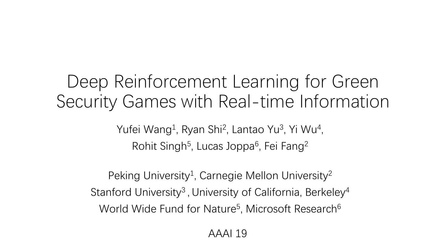# Deep Reinforcement Learning for Green Security Games with Real-time Information

Yufei Wang<sup>1</sup>, Ryan Shi<sup>2</sup>, Lantao Yu<sup>3</sup>, Yi Wu<sup>4</sup>, Rohit Singh<sup>5</sup>, Lucas Joppa<sup>6</sup>, Fei Fang<sup>2</sup>

Peking University<sup>1</sup>, Carnegie Mellon University<sup>2</sup> Stanford University<sup>3</sup>, University of California, Berkeley<sup>4</sup> World Wide Fund for Nature<sup>5</sup>, Microsoft Research<sup>6</sup>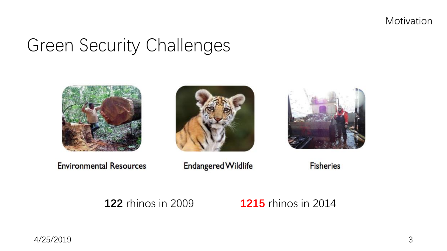Motivation

# Green Security Challenges







**Environmental Resources** 

**Endangered Wildlife** 

**Fisheries** 

### **122** rhinos in 2009 **1215** rhinos in 2014

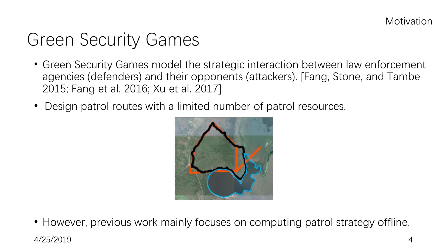# Green Security Games

- Green Security Games model the strategic interaction between law enforcement agencies (defenders) and their opponents (attackers). [Fang, Stone, and Tambe 2015; Fang et al. 2016; Xu et al. 2017]
- Design patrol routes with a limited number of patrol resources.



• However, previous work mainly focuses on computing patrol strategy offline.

4/25/2019 4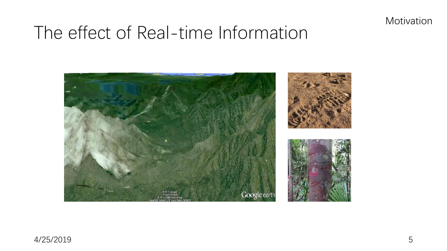Motivation

# The effect of Real-time Information

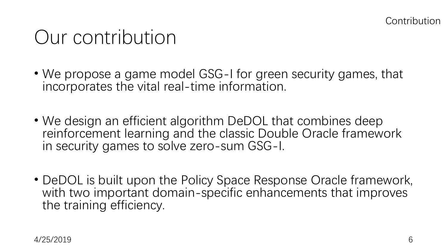# Our contribution

- We propose a game model GSG-I for green security games, that incorporates the vital real-time information.
- We design an efficient algorithm DeDOL that combines deep reinforcement learning and the classic Double Oracle framework in security games to solve zero-sum GSG-I.
- DeDOL is built upon the Policy Space Response Oracle framework, with two important domain-specific enhancements that improves the training efficiency.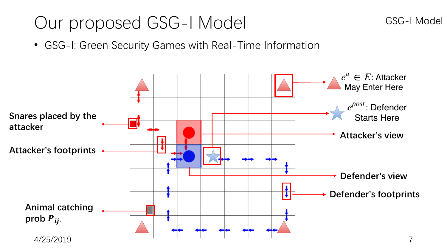# Our proposed GSG-I Model

• GSG-I: Green Security Games with Real-Time Information

![](_page_5_Figure_2.jpeg)

GSG-I Model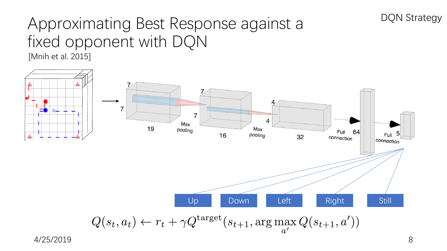## Approximating Best Response against a fixed opponent with DQN [Mnih et al. 2015]

![](_page_6_Figure_1.jpeg)

DQN Strategy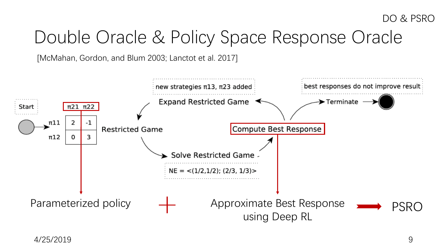# Double Oracle & Policy Space Response Oracle

[McMahan, Gordon, and Blum 2003; Lanctot et al. 2017]

![](_page_7_Figure_3.jpeg)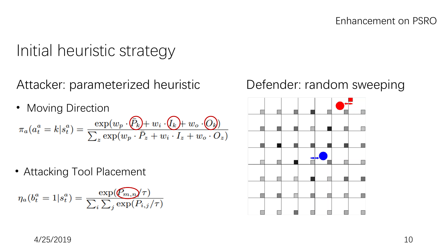## Initial heuristic strategy

Attacker: parameterized heuristic Defender: random sweeping

• Moving Direction  $\pi_a(a_t^a = k | s_t^a) = \frac{\exp(w_p \cdot (\bar{P}_k) + w_i \cdot (I_k) + w_o \cdot (O_k))}{\sum_z \exp(w_p \cdot \bar{P}_z + w_i \cdot I_z + w_o \cdot O_z)}$ 

• Attacking Tool Placement

$$
\eta_a(b_t^a = 1 | s_t^a) = \frac{\exp(\widehat{\mathcal{C}_{m,n}}/\tau)}{\sum_i \sum_j \exp(P_{i,j}/\tau)}
$$

![](_page_8_Figure_7.jpeg)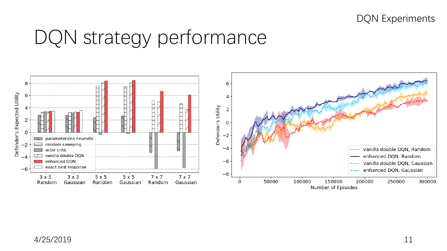DQN Experiments

# DQN strategy performance

![](_page_9_Figure_2.jpeg)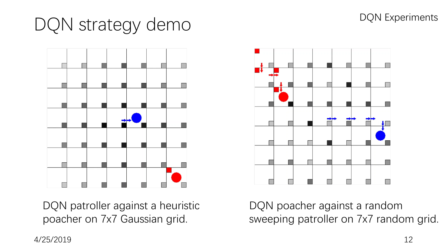### DQN Experiments

# DQN strategy demo

![](_page_10_Figure_2.jpeg)

DQN patroller against a heuristic poacher on 7x7 Gaussian grid.

![](_page_10_Figure_4.jpeg)

DQN poacher against a random sweeping patroller on 7x7 random grid.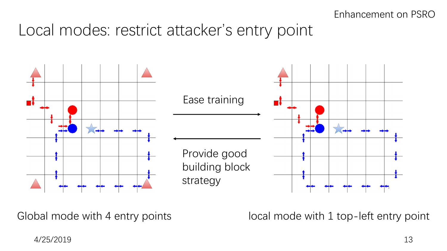## Local modes: restrict attacker's entry point

![](_page_11_Figure_2.jpeg)

Global mode with 4 entry points local mode with 1 top-left entry point

4/25/2019 13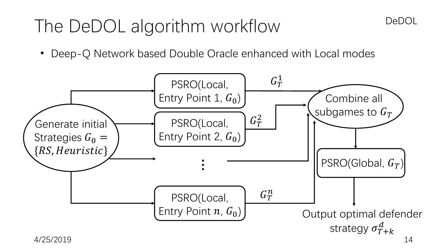# The DeDOL algorithm workflow

• Deep-Q Network based Double Oracle enhanced with Local modes

![](_page_12_Figure_2.jpeg)

DeDOL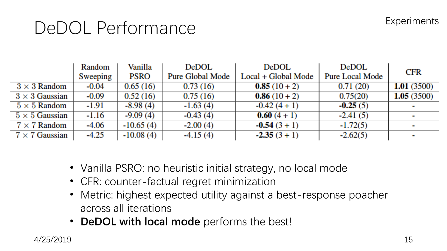### **Experiments**

# DeDOL Performance

|                       | Random   | Vanilla     | <b>DeDOL</b>            | <b>DeDOL</b>        | DeDOL                  | <b>CFR</b>               |
|-----------------------|----------|-------------|-------------------------|---------------------|------------------------|--------------------------|
|                       | Sweeping | <b>PSRO</b> | <b>Pure Global Mode</b> | Local + Global Mode | <b>Pure Local Mode</b> |                          |
| $3 \times 3$ Random   | -0.04    | 0.65(16)    | 0.73(16)                | $0.85(10+2)$        | 0.71(20)               | 1.01(3500)               |
| $3 \times 3$ Gaussian | -0.09    | 0.52(16)    | 0.75(16)                | $0.86(10+2)$        | 0.75(20)               | 1.05(3500)               |
| $5 \times 5$ Random   | -1.91    | $-8.98(4)$  | $-1.63(4)$              | $-0.42(4 + 1)$      | $-0.25(5)$             | $\overline{\phantom{a}}$ |
| $5 \times 5$ Gaussian | $-1.16$  | $-9.09(4)$  | $-0.43(4)$              | $0.60(4 + 1)$       | $-2.41(5)$             | п                        |
| $7 \times 7$ Random   | -4.06    | $-10.65(4)$ | $-2.00(4)$              | $-0.54(3 + 1)$      | $-1.72(5)$             | $\mathbf{r}$             |
| $7 \times 7$ Gaussian | $-4.25$  | $-10.08(4)$ | $-4.15(4)$              | $-2.35(3 + 1)$      | $-2.62(5)$             | $\overline{\phantom{a}}$ |

- Vanilla PSRO: no heuristic initial strategy, no local mode
- CFR: counter-factual regret minimization
- Metric: highest expected utility against a best-response poacher across all iterations
- **DeDOL with local mode** performs the best!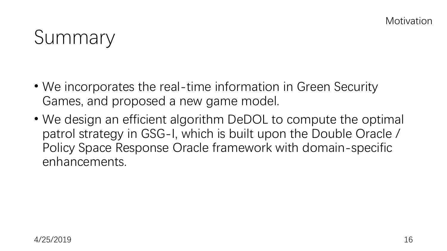# Summary

- We incorporates the real-time information in Green Security Games, and proposed a new game model.
- We design an efficient algorithm DeDOL to compute the optimal patrol strategy in GSG-I, which is built upon the Double Oracle / Policy Space Response Oracle framework with domain-specific enhancements.